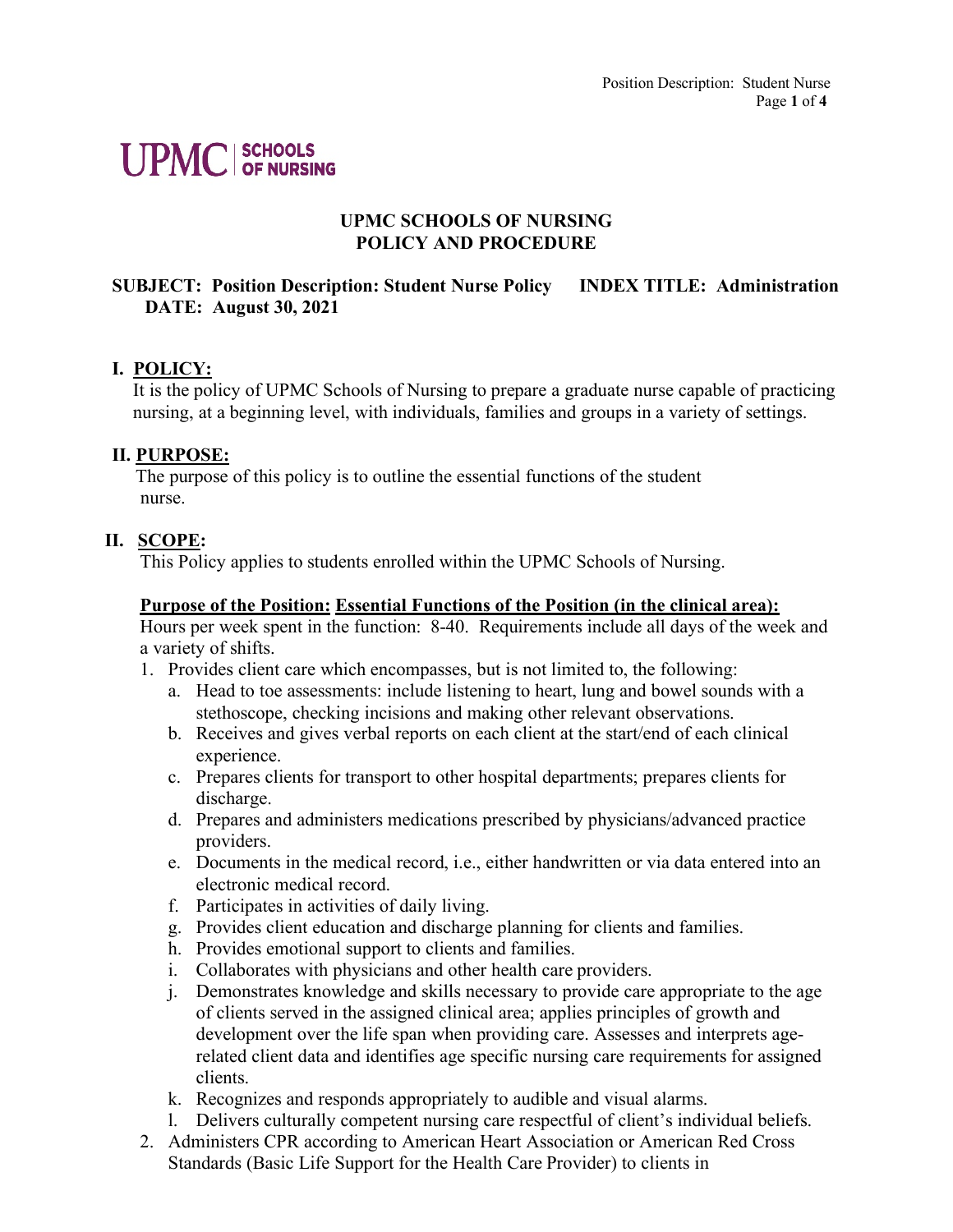# **UPMC SCHOOLS**

### **UPMC SCHOOLS OF NURSING POLICY AND PROCEDURE**

## **SUBJECT: Position Description: Student Nurse Policy INDEX TITLE: Administration DATE: August 30, 2021**

#### **I. POLICY:**

It is the policy of UPMC Schools of Nursing to prepare a graduate nurse capable of practicing nursing, at a beginning level, with individuals, families and groups in a variety of settings.

#### **II. PURPOSE:**

The purpose of this policy is to outline the essential functions of the student nurse.

#### **II. SCOPE:**

This Policy applies to students enrolled within the UPMC Schools of Nursing.

#### **Purpose of the Position: Essential Functions of the Position (in the clinical area):**

Hours per week spent in the function: 8-40. Requirements include all days of the week and a variety of shifts.

- 1. Provides client care which encompasses, but is not limited to, the following:
	- a. Head to toe assessments: include listening to heart, lung and bowel sounds with a stethoscope, checking incisions and making other relevant observations.
	- b. Receives and gives verbal reports on each client at the start/end of each clinical experience.
	- c. Prepares clients for transport to other hospital departments; prepares clients for discharge.
	- d. Prepares and administers medications prescribed by physicians/advanced practice providers.
	- e. Documents in the medical record, i.e., either handwritten or via data entered into an electronic medical record.
	- f. Participates in activities of daily living.
	- g. Provides client education and discharge planning for clients and families.
	- h. Provides emotional support to clients and families.
	- i. Collaborates with physicians and other health care providers.
	- j. Demonstrates knowledge and skills necessary to provide care appropriate to the age of clients served in the assigned clinical area; applies principles of growth and development over the life span when providing care. Assesses and interprets agerelated client data and identifies age specific nursing care requirements for assigned clients.
	- k. Recognizes and responds appropriately to audible and visual alarms.
	- l. Delivers culturally competent nursing care respectful of client's individual beliefs.
- 2. Administers CPR according to American Heart Association or American Red Cross Standards (Basic Life Support for the Health Care Provider) to clients in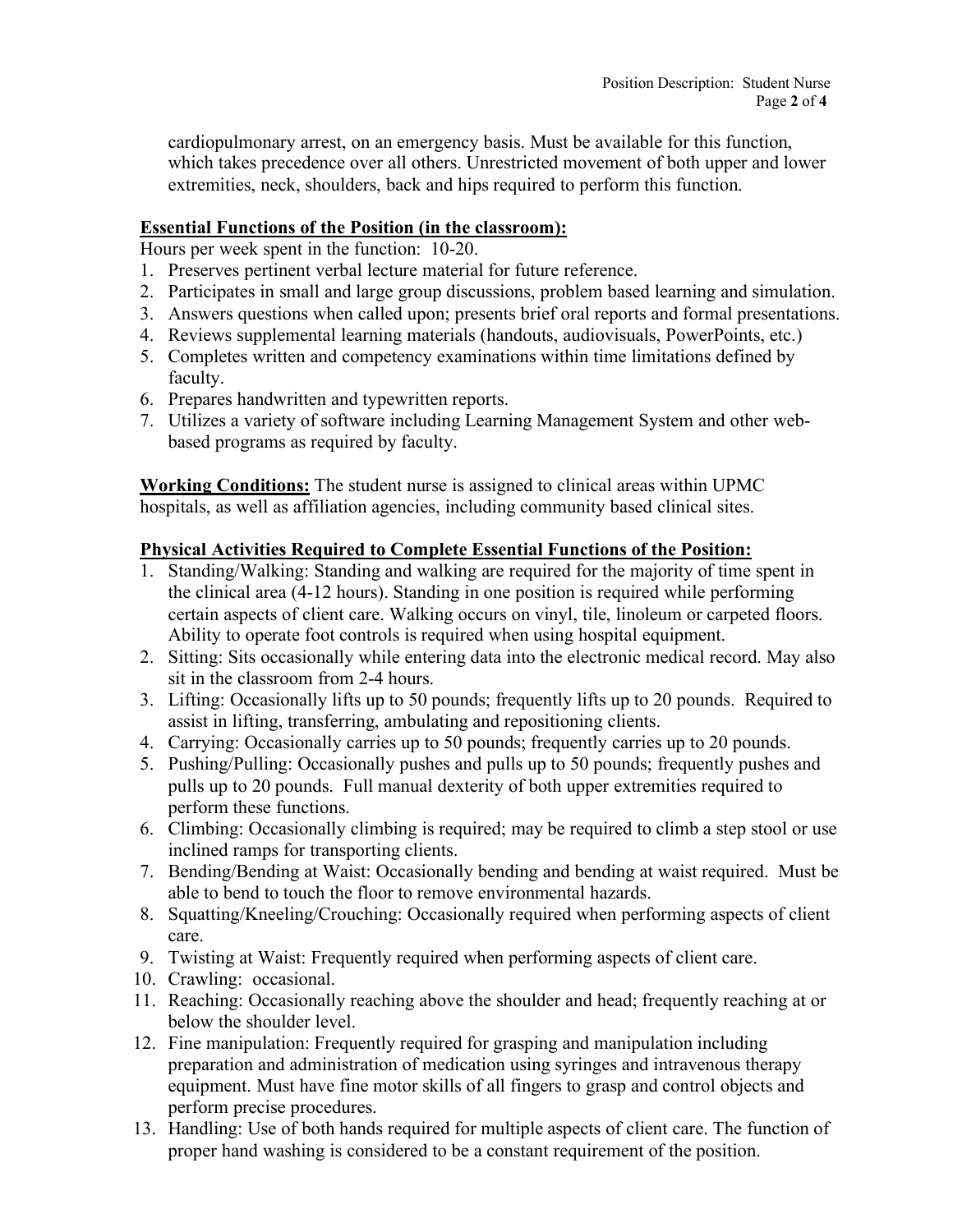cardiopulmonary arrest, on an emergency basis. Must be available for this function, which takes precedence over all others. Unrestricted movement of both upper and lower extremities, neck, shoulders, back and hips required to perform this function.

#### **Essential Functions of the Position (in the classroom):**

Hours per week spent in the function: 10-20.

- 1. Preserves pertinent verbal lecture material for future reference.
- 2. Participates in small and large group discussions, problem based learning and simulation.
- 3. Answers questions when called upon; presents brief oral reports and formal presentations.
- 4. Reviews supplemental learning materials (handouts, audiovisuals, PowerPoints, etc.)
- 5. Completes written and competency examinations within time limitations defined by faculty.
- 6. Prepares handwritten and typewritten reports.
- 7. Utilizes a variety of software including Learning Management System and other webbased programs as required by faculty.

**Working Conditions:** The student nurse is assigned to clinical areas within UPMC hospitals, as well as affiliation agencies, including community based clinical sites.

#### **Physical Activities Required to Complete Essential Functions of the Position:**

- 1. Standing/Walking: Standing and walking are required for the majority of time spent in the clinical area (4-12 hours). Standing in one position is required while performing certain aspects of client care. Walking occurs on vinyl, tile, linoleum or carpeted floors. Ability to operate foot controls is required when using hospital equipment.
- 2. Sitting: Sits occasionally while entering data into the electronic medical record. May also sit in the classroom from 2-4 hours.
- 3. Lifting: Occasionally lifts up to 50 pounds; frequently lifts up to 20 pounds. Required to assist in lifting, transferring, ambulating and repositioning clients.
- 4. Carrying: Occasionally carries up to 50 pounds; frequently carries up to 20 pounds.
- 5. Pushing/Pulling: Occasionally pushes and pulls up to 50 pounds; frequently pushes and pulls up to 20 pounds. Full manual dexterity of both upper extremities required to perform these functions.
- 6. Climbing: Occasionally climbing is required; may be required to climb a step stool or use inclined ramps for transporting clients.
- 7. Bending/Bending at Waist: Occasionally bending and bending at waist required. Must be able to bend to touch the floor to remove environmental hazards.
- 8. Squatting/Kneeling/Crouching: Occasionally required when performing aspects of client care.
- 9. Twisting at Waist: Frequently required when performing aspects of client care.
- 10. Crawling: occasional.
- 11. Reaching: Occasionally reaching above the shoulder and head; frequently reaching at or below the shoulder level.
- 12. Fine manipulation: Frequently required for grasping and manipulation including preparation and administration of medication using syringes and intravenous therapy equipment. Must have fine motor skills of all fingers to grasp and control objects and perform precise procedures.
- 13. Handling: Use of both hands required for multiple aspects of client care. The function of proper hand washing is considered to be a constant requirement of the position.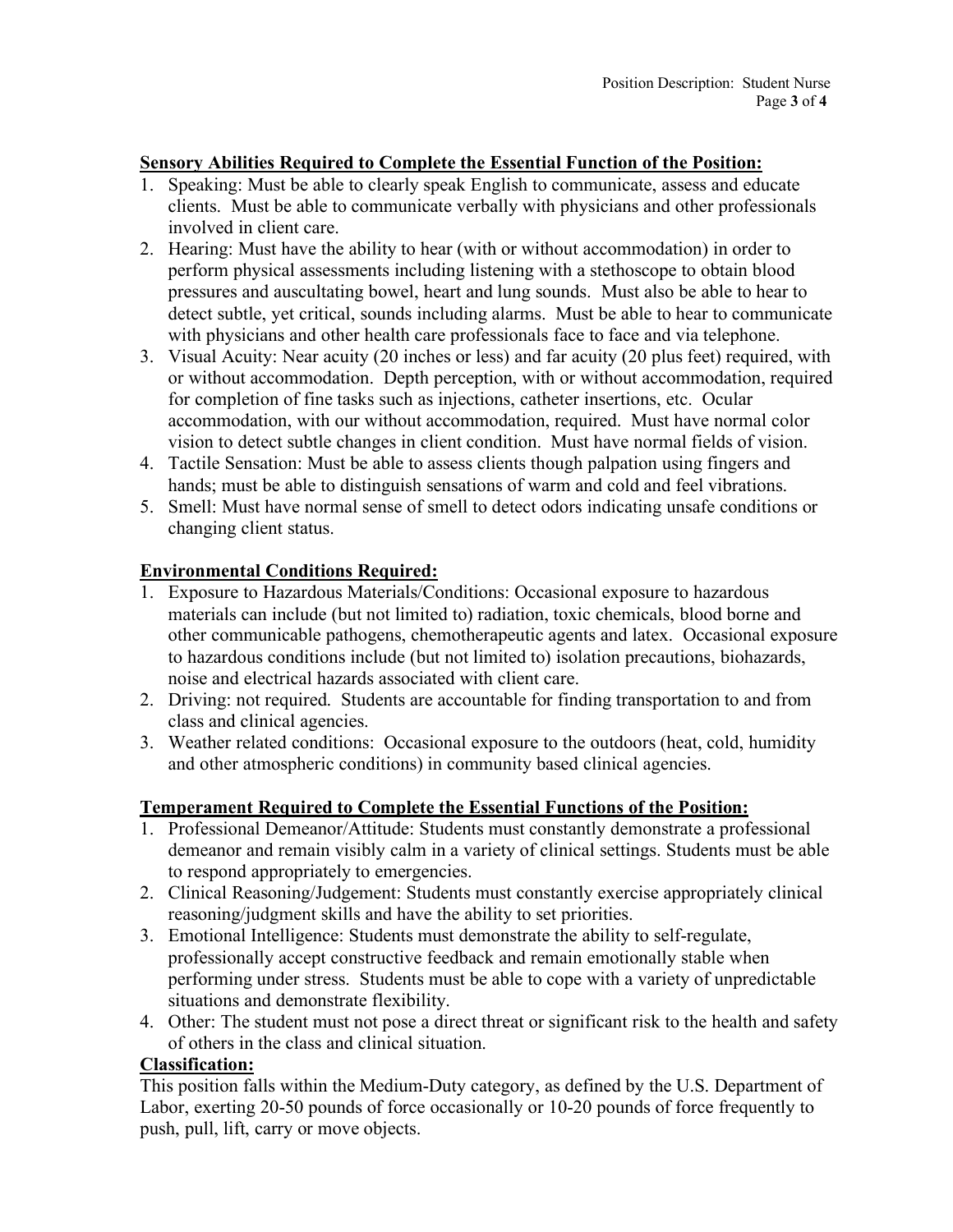#### **Sensory Abilities Required to Complete the Essential Function of the Position:**

- 1. Speaking: Must be able to clearly speak English to communicate, assess and educate clients. Must be able to communicate verbally with physicians and other professionals involved in client care.
- 2. Hearing: Must have the ability to hear (with or without accommodation) in order to perform physical assessments including listening with a stethoscope to obtain blood pressures and auscultating bowel, heart and lung sounds. Must also be able to hear to detect subtle, yet critical, sounds including alarms. Must be able to hear to communicate with physicians and other health care professionals face to face and via telephone.
- 3. Visual Acuity: Near acuity (20 inches or less) and far acuity (20 plus feet) required, with or without accommodation. Depth perception, with or without accommodation, required for completion of fine tasks such as injections, catheter insertions, etc. Ocular accommodation, with our without accommodation, required. Must have normal color vision to detect subtle changes in client condition. Must have normal fields of vision.
- 4. Tactile Sensation: Must be able to assess clients though palpation using fingers and hands; must be able to distinguish sensations of warm and cold and feel vibrations.
- 5. Smell: Must have normal sense of smell to detect odors indicating unsafe conditions or changing client status.

#### **Environmental Conditions Required:**

- 1. Exposure to Hazardous Materials/Conditions: Occasional exposure to hazardous materials can include (but not limited to) radiation, toxic chemicals, blood borne and other communicable pathogens, chemotherapeutic agents and latex. Occasional exposure to hazardous conditions include (but not limited to) isolation precautions, biohazards, noise and electrical hazards associated with client care.
- 2. Driving: not required. Students are accountable for finding transportation to and from class and clinical agencies.
- 3. Weather related conditions: Occasional exposure to the outdoors (heat, cold, humidity and other atmospheric conditions) in community based clinical agencies.

#### **Temperament Required to Complete the Essential Functions of the Position:**

- 1. Professional Demeanor/Attitude: Students must constantly demonstrate a professional demeanor and remain visibly calm in a variety of clinical settings. Students must be able to respond appropriately to emergencies.
- 2. Clinical Reasoning/Judgement: Students must constantly exercise appropriately clinical reasoning/judgment skills and have the ability to set priorities.
- 3. Emotional Intelligence: Students must demonstrate the ability to self-regulate, professionally accept constructive feedback and remain emotionally stable when performing under stress. Students must be able to cope with a variety of unpredictable situations and demonstrate flexibility.
- 4. Other: The student must not pose a direct threat or significant risk to the health and safety of others in the class and clinical situation.

#### **Classification:**

This position falls within the Medium-Duty category, as defined by the U.S. Department of Labor, exerting 20-50 pounds of force occasionally or 10-20 pounds of force frequently to push, pull, lift, carry or move objects.